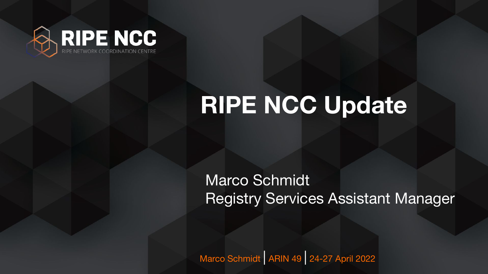

Marco Schmidt | ARIN 49 | 24-27 April 2022

### **RIPE NCC Update**

Marco Schmidt Registry Services Assistant Manager

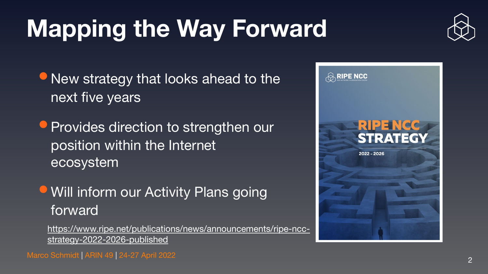# **Mapping the Way Forward**

**• New strategy that looks ahead to the** next five years

**• Will inform our Activity Plans going** forward

• Provides direction to strengthen our position within the Internet ecosystem

[https://www.ripe.net/publications/news/announcements/ripe-ncc](https://www.ripe.net/publications/news/announcements/ripe-ncc-strategy-2022-2026-published)[strategy-2022-2026-published](https://www.ripe.net/publications/news/announcements/ripe-ncc-strategy-2022-2026-published)

Marco Schmidt | ARIN 49 | 24-27 April 2022 2008 | 2009 | 2010 | 2010 | 2010 | 2010 | 2010 | 2010 | 2010 | 201





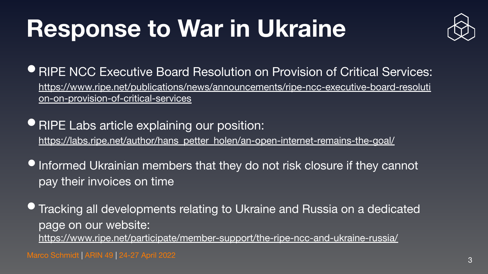# **Response to War in Ukraine**

**• RIPE NCC Executive Board Resolution on Provision of Critical Services:** [https://www.ripe.net/publications/news/announcements/ripe-ncc-executive-board-resoluti](https://www.ripe.net/publications/news/announcements/ripe-ncc-executive-board-resolution-on-provision-of-critical-services)

- [on-on-provision-of-critical-services](https://www.ripe.net/publications/news/announcements/ripe-ncc-executive-board-resolution-on-provision-of-critical-services)
- •RIPE Labs article explaining our position: [https://labs.ripe.net/author/hans\\_petter\\_holen/an-open-internet-remains-the-goal/](https://labs.ripe.net/author/hans_petter_holen/an-open-internet-remains-the-goal/)
- **Informed Ukrainian members that they do not risk closure if they cannot** pay their invoices on time
- Tracking all developments relating to Ukraine and Russia on a dedicated page on our website: <https://www.ripe.net/participate/member-support/the-ripe-ncc-and-ukraine-russia/>

Marco Schmidt | ARIN 49 | 24-27 April 2022 3

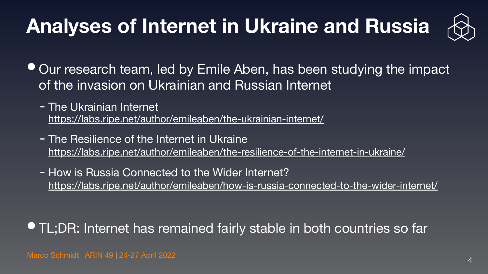### **Analyses of Internet in Ukraine and Russia**

- Our research team, led by Emile Aben, has been studying the impact of the invasion on Ukrainian and Russian Internet
	- The Ukrainian Internet <https://labs.ripe.net/author/emileaben/the-ukrainian-internet/>
	- The Resilience of the Internet in Ukraine <https://labs.ripe.net/author/emileaben/the-resilience-of-the-internet-in-ukraine/>
	- How is Russia Connected to the Wider Internet? <https://labs.ripe.net/author/emileaben/how-is-russia-connected-to-the-wider-internet/>

Marco Schmidt | ARIN 49 | 24-27 April 2022



• TL;DR: Internet has remained fairly stable in both countries so far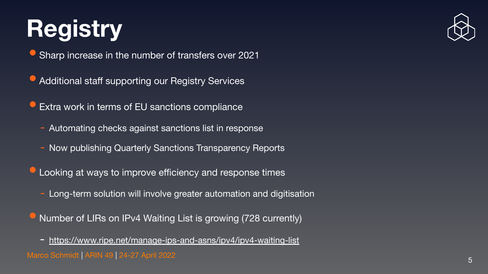# **Registry**

• Sharp increase in the number of transfers over 2021

- Additional staff supporting our Registry Services
- Extra work in terms of EU sanctions compliance
	- Automating checks against sanctions list in response
	- Now publishing Quarterly Sanctions Transparency Reports
- Looking at ways to improve efficiency and response times
	- Long-term solution will involve greater automation and digitisation
- Number of LIRs on IPv4 Waiting List is growing (728 currently)
- Marco Schmidt | ARIN 49 | 24-27 April 2022 5 - <https://www.ripe.net/manage-ips-and-asns/ipv4/ipv4-waiting-list>



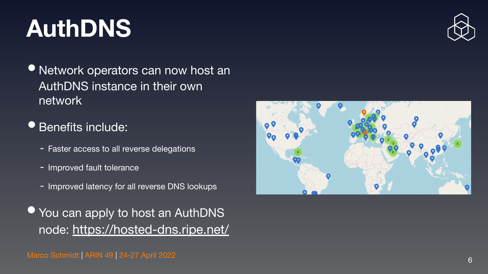Marco Schmidt | ARIN 49 | 24-27 April 2022







# **AuthDNS**

• Network operators can now host an AuthDNS instance in their own network

**• Benefits include:** 

- Faster access to all reverse delegations
- Improved fault tolerance
- Improved latency for all reverse DNS lookups
- You can apply to host an AuthDNS node: <https://hosted-dns.ripe.net/>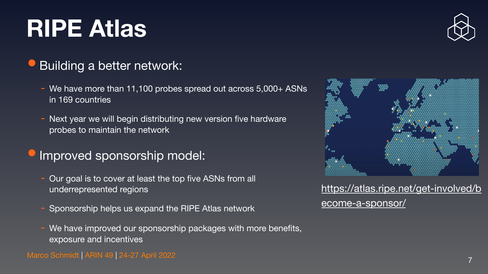# **RIPE Atlas**

### • Building a better network:

- We have more than 11,100 probes spread out across 5,000+ ASNs in 169 countries
- Next year we will begin distributing new version five hardware probes to maintain the network

- Our goal is to cover at least the top five ASNs from all underrepresented regions
- Sponsorship helps us expand the RIPE Atlas network
- We have improved our sponsorship packages with more benefits, exposure and incentives

Marco Schmidt | ARIN 49 | 24-27 April 2022 7





### •Improved sponsorship model:

### [https://atlas.ripe.net/get-involved/b](https://atlas.ripe.net/get-involved/become-a-sponsor/) [ecome-a-sponsor/](https://atlas.ripe.net/get-involved/become-a-sponsor/)

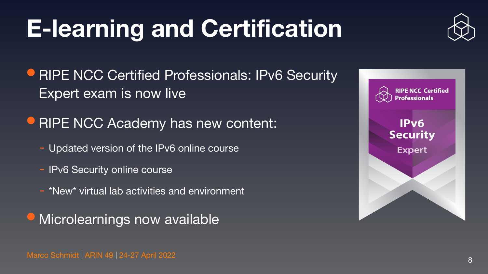Marco Schmidt | ARIN 49 | 24-27 April 2022 <sup>8</sup>





IPv6 **Security Expert** 



# **E-learning and Certification**

- **RIPE NCC Certified Professionals: IPv6 Security** Expert exam is now live
- **RIPE NCC Academy has new content:** 
	- Updated version of the IPv6 online course
	- IPv6 Security online course
	- \*New\* virtual lab activities and environment

• Microlearnings now available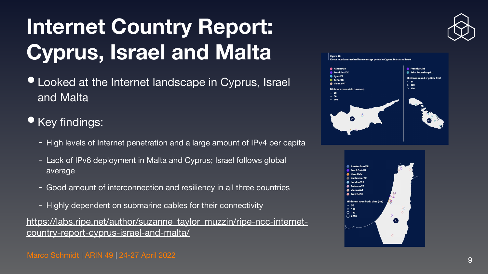- Looked at the Internet landscape in Cyprus, Israel and Malta
- Key findings:
	- High levels of Internet penetration and a large amount of IPv4 per capita
	- Lack of IPv6 deployment in Malta and Cyprus; Israel follows global average
	- Good amount of interconnection and resiliency in all three countries
	- Highly dependent on submarine cables for their connectivity

### **Internet Country Report: Cyprus, Israel and Malta**

[https://labs.ripe.net/author/suzanne\\_taylor\\_muzzin/ripe-ncc-internet](https://labs.ripe.net/author/suzanne_taylor_muzzin/ripe-ncc-internet-country-report-cyprus-israel-and-malta/)[country-report-cyprus-israel-and-malta/](https://labs.ripe.net/author/suzanne_taylor_muzzin/ripe-ncc-internet-country-report-cyprus-israel-and-malta/)

Marco Schmidt | ARIN 49 | 24-27 April 2022 | 2009 | 2009 | 2009 | 2010 | 2010 | 2010 | 2010 | 2010 | 2010 | 20







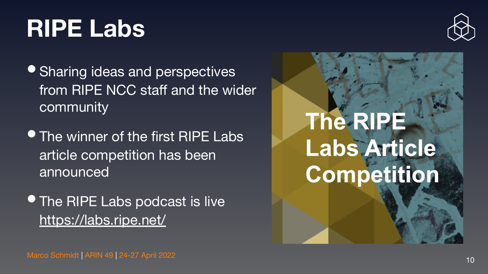# **RIPE Labs**

- Sharing ideas and perspectives from RIPE NCC staff and the wider community
- The winner of the first RIPE Labs article competition has been announced
- **The RIPE Labs podcast is live** <https://labs.ripe.net/>

Marco Schmidt | ARIN 49 | 24-27 April 2022 10



# The-RIRE Labs Article Competition



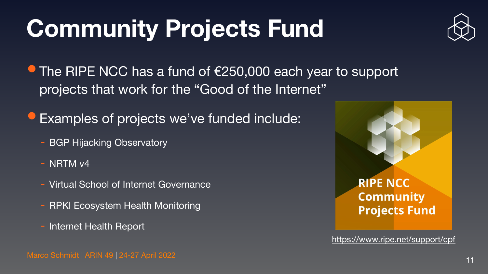Marco Schmidt | ARIN 49 | 24-27 April 2022



# **Community Projects Fund**

- The RIPE NCC has a fund of €250,000 each year to support projects that work for the "Good of the Internet"
- Examples of projects we've funded include:
	- **BGP Hijacking Observatory**
	- NRTM v4
	- Virtual School of Internet Governance
	- **RPKI Ecosystem Health Monitoring**
	- Internet Health Report

<https://www.ripe.net/support/cpf>

11

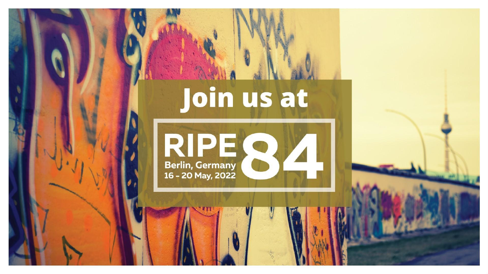### **Berlin, Germany** 16 - 20 May, 2022

Marco Schmidt | ARIN 49 | 24-27 April 2022 <sup>12</sup>



# Join us at